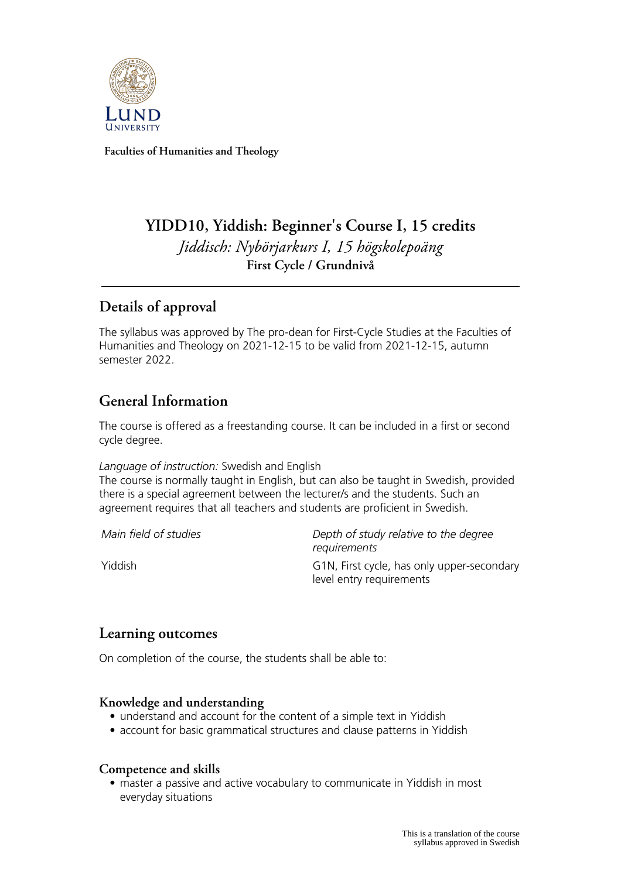

**Faculties of Humanities and Theology**

# **YIDD10, Yiddish: Beginner's Course I, 15 credits** *Jiddisch: Nybörjarkurs I, 15 högskolepoäng* **First Cycle / Grundnivå**

# **Details of approval**

The syllabus was approved by The pro-dean for First-Cycle Studies at the Faculties of Humanities and Theology on 2021-12-15 to be valid from 2021-12-15, autumn semester 2022.

# **General Information**

The course is offered as a freestanding course. It can be included in a first or second cycle degree.

*Language of instruction:* Swedish and English

The course is normally taught in English, but can also be taught in Swedish, provided there is a special agreement between the lecturer/s and the students. Such an agreement requires that all teachers and students are proficient in Swedish.

*Main field of studies Depth of study relative to the degree requirements* Yiddish G1N, First cycle, has only upper-secondary level entry requirements

# **Learning outcomes**

On completion of the course, the students shall be able to:

## **Knowledge and understanding**

- understand and account for the content of a simple text in Yiddish
- account for basic grammatical structures and clause patterns in Yiddish

### **Competence and skills**

• master a passive and active vocabulary to communicate in Yiddish in most everyday situations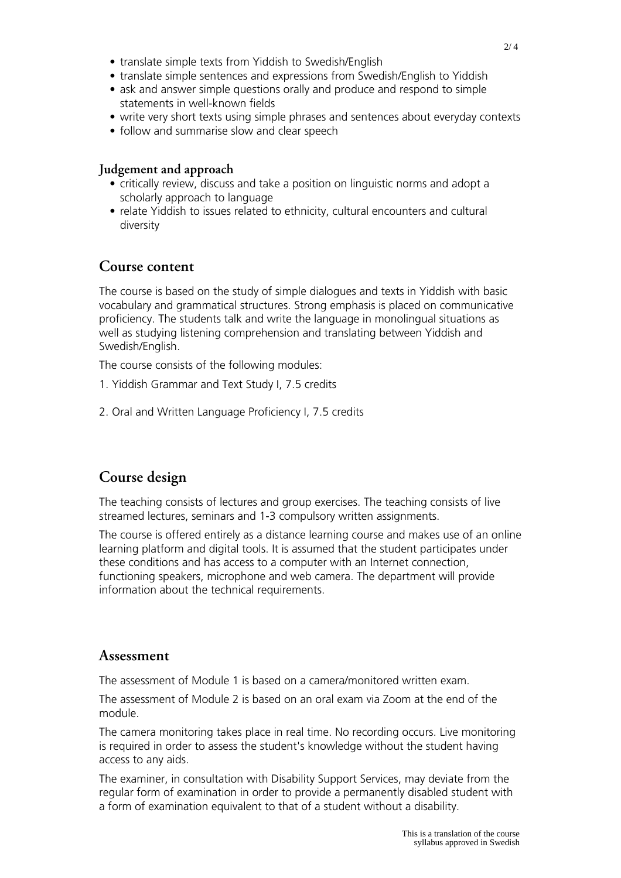- translate simple texts from Yiddish to Swedish/English
- translate simple sentences and expressions from Swedish/English to Yiddish
- ask and answer simple questions orally and produce and respond to simple statements in well-known fields
- write very short texts using simple phrases and sentences about everyday contexts
- follow and summarise slow and clear speech

#### **Judgement and approach**

- critically review, discuss and take a position on linguistic norms and adopt a scholarly approach to language
- relate Yiddish to issues related to ethnicity, cultural encounters and cultural diversity

## **Course content**

The course is based on the study of simple dialogues and texts in Yiddish with basic vocabulary and grammatical structures. Strong emphasis is placed on communicative proficiency. The students talk and write the language in monolingual situations as well as studying listening comprehension and translating between Yiddish and Swedish/English.

The course consists of the following modules:

- 1. Yiddish Grammar and Text Study I, 7.5 credits
- 2. Oral and Written Language Proficiency I, 7.5 credits

# **Course design**

The teaching consists of lectures and group exercises. The teaching consists of live streamed lectures, seminars and 1-3 compulsory written assignments.

The course is offered entirely as a distance learning course and makes use of an online learning platform and digital tools. It is assumed that the student participates under these conditions and has access to a computer with an Internet connection, functioning speakers, microphone and web camera. The department will provide information about the technical requirements.

### **Assessment**

The assessment of Module 1 is based on a camera/monitored written exam.

The assessment of Module 2 is based on an oral exam via Zoom at the end of the module.

The camera monitoring takes place in real time. No recording occurs. Live monitoring is required in order to assess the student's knowledge without the student having access to any aids.

The examiner, in consultation with Disability Support Services, may deviate from the regular form of examination in order to provide a permanently disabled student with a form of examination equivalent to that of a student without a disability.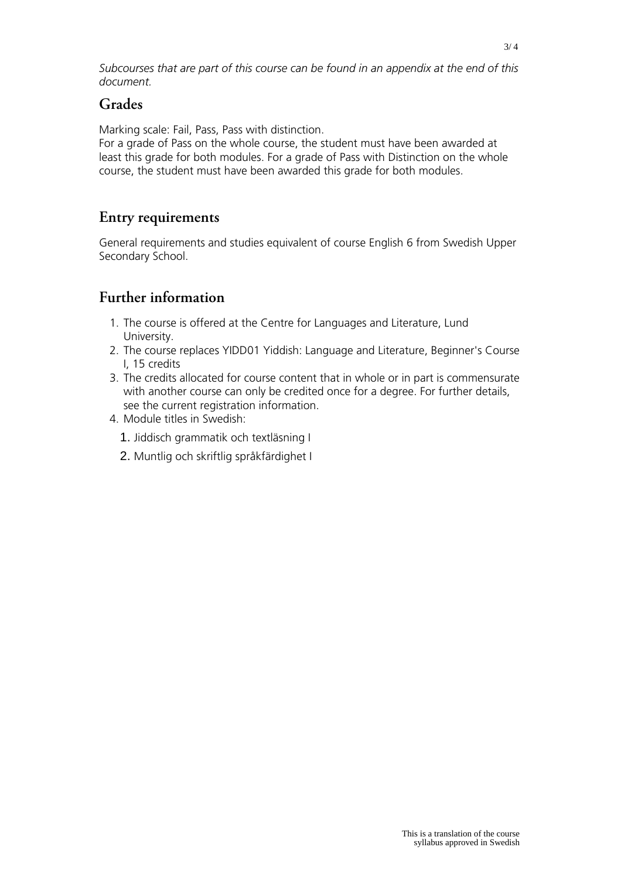*Subcourses that are part of this course can be found in an appendix at the end of this document.*

## **Grades**

Marking scale: Fail, Pass, Pass with distinction.

For a grade of Pass on the whole course, the student must have been awarded at least this grade for both modules. For a grade of Pass with Distinction on the whole course, the student must have been awarded this grade for both modules.

# **Entry requirements**

General requirements and studies equivalent of course English 6 from Swedish Upper Secondary School.

# **Further information**

- 1. The course is offered at the Centre for Languages and Literature, Lund University.
- 2. The course replaces YIDD01 Yiddish: Language and Literature, Beginner's Course I, 15 credits
- 3. The credits allocated for course content that in whole or in part is commensurate with another course can only be credited once for a degree. For further details, see the current registration information.
- 4. Module titles in Swedish:
	- 1. Jiddisch grammatik och textläsning I
	- 2. Muntlig och skriftlig språkfärdighet I